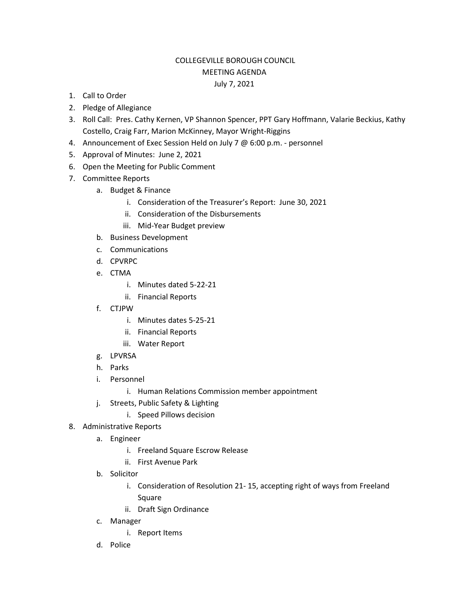## COLLEGEVILLE BOROUGH COUNCIL MEETING AGENDA July 7, 2021

- 1. Call to Order
- 2. Pledge of Allegiance
- 3. Roll Call: Pres. Cathy Kernen, VP Shannon Spencer, PPT Gary Hoffmann, Valarie Beckius, Kathy Costello, Craig Farr, Marion McKinney, Mayor Wright-Riggins
- 4. Announcement of Exec Session Held on July 7 @ 6:00 p.m. personnel
- 5. Approval of Minutes: June 2, 2021
- 6. Open the Meeting for Public Comment
- 7. Committee Reports
	- a. Budget & Finance
		- i. Consideration of the Treasurer's Report: June 30, 2021
		- ii. Consideration of the Disbursements
		- iii. Mid-Year Budget preview
	- b. Business Development
	- c. Communications
	- d. CPVRPC
	- e. CTMA
		- i. Minutes dated 5-22-21
		- ii. Financial Reports
	- f. CTJPW
		- i. Minutes dates 5-25-21
		- ii. Financial Reports
		- iii. Water Report
	- g. LPVRSA
	- h. Parks
	- i. Personnel
		- i. Human Relations Commission member appointment
	- j. Streets, Public Safety & Lighting
		- i. Speed Pillows decision
- 8. Administrative Reports
	- a. Engineer
		- i. Freeland Square Escrow Release
		- ii. First Avenue Park
	- b. Solicitor
		- i. Consideration of Resolution 21- 15, accepting right of ways from Freeland Square
		- ii. Draft Sign Ordinance
	- c. Manager
		- i. Report Items
	- d. Police